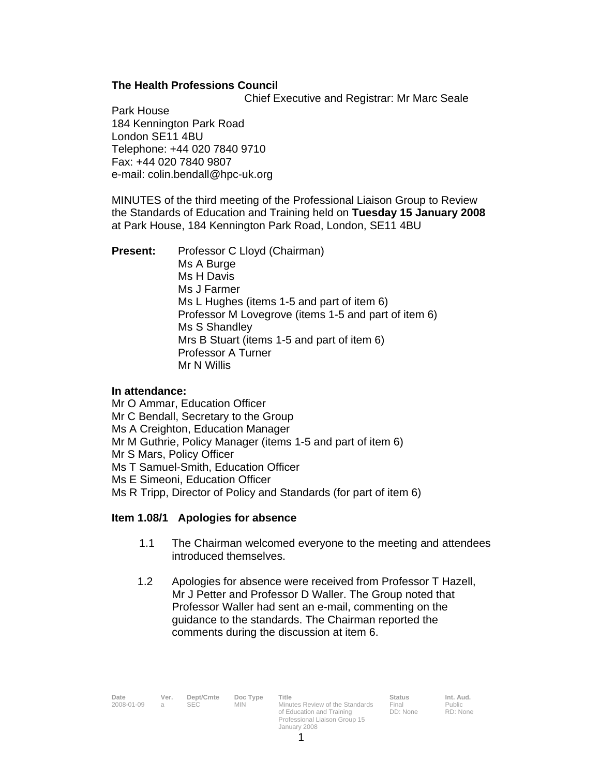#### **The Health Professions Council**

Chief Executive and Registrar: Mr Marc Seale

Park House 184 Kennington Park Road London SE11 4BU Telephone: +44 020 7840 9710 Fax: +44 020 7840 9807 e-mail: colin.bendall@hpc-uk.org

MINUTES of the third meeting of the Professional Liaison Group to Review the Standards of Education and Training held on **Tuesday 15 January 2008** at Park House, 184 Kennington Park Road, London, SE11 4BU

**Present:** Professor C Lloyd (Chairman) Ms A Burge Ms H Davis Ms J Farmer Ms L Hughes (items 1-5 and part of item 6) Professor M Lovegrove (items 1-5 and part of item 6) Ms S Shandley Mrs B Stuart (items 1-5 and part of item 6) Professor A Turner Mr N Willis

#### **In attendance:**

Mr O Ammar, Education Officer Mr C Bendall, Secretary to the Group Ms A Creighton, Education Manager Mr M Guthrie, Policy Manager (items 1-5 and part of item 6) Mr S Mars, Policy Officer Ms T Samuel-Smith, Education Officer Ms E Simeoni, Education Officer Ms R Tripp, Director of Policy and Standards (for part of item 6)

#### **Item 1.08/1 Apologies for absence**

- 1.1 The Chairman welcomed everyone to the meeting and attendees introduced themselves.
- 1.2 Apologies for absence were received from Professor T Hazell, Mr J Petter and Professor D Waller. The Group noted that Professor Waller had sent an e-mail, commenting on the guidance to the standards. The Chairman reported the comments during the discussion at item 6.

**Date Ver. Dept/Cmte Doc Type Title Status Status Status Status Interpretational Status** 2008-01-09 a SEC MIN Minutes Review of the Standards Final

**2008** SEC MIN Minutes Review of the Standards of Education and Training Professional Liaison Group 15 January 2008

Final DD: None

 $Int.$  Aud. RD: None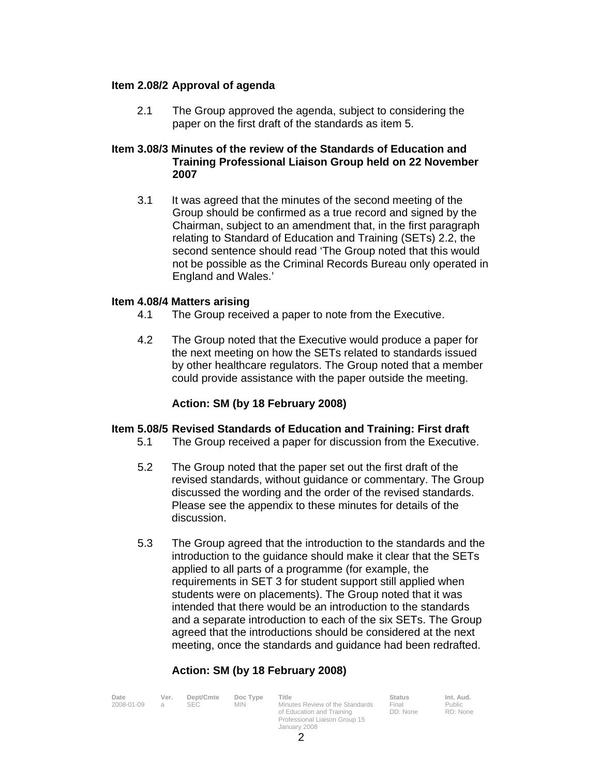#### **Item 2.08/2 Approval of agenda**

2.1 The Group approved the agenda, subject to considering the paper on the first draft of the standards as item 5.

#### **Item 3.08/3 Minutes of the review of the Standards of Education and Training Professional Liaison Group held on 22 November 2007**

 3.1 It was agreed that the minutes of the second meeting of the Group should be confirmed as a true record and signed by the Chairman, subject to an amendment that, in the first paragraph relating to Standard of Education and Training (SETs) 2.2, the second sentence should read 'The Group noted that this would not be possible as the Criminal Records Bureau only operated in England and Wales.'

#### **Item 4.08/4 Matters arising**

- 4.1 The Group received a paper to note from the Executive.
- 4.2 The Group noted that the Executive would produce a paper for the next meeting on how the SETs related to standards issued by other healthcare regulators. The Group noted that a member could provide assistance with the paper outside the meeting.

#### **Action: SM (by 18 February 2008)**

#### **Item 5.08/5 Revised Standards of Education and Training: First draft**

- 5.1 The Group received a paper for discussion from the Executive.
- 5.2 The Group noted that the paper set out the first draft of the revised standards, without guidance or commentary. The Group discussed the wording and the order of the revised standards. Please see the appendix to these minutes for details of the discussion.
- 5.3 The Group agreed that the introduction to the standards and the introduction to the guidance should make it clear that the SETs applied to all parts of a programme (for example, the requirements in SET 3 for student support still applied when students were on placements). The Group noted that it was intended that there would be an introduction to the standards and a separate introduction to each of the six SETs. The Group agreed that the introductions should be considered at the next meeting, once the standards and guidance had been redrafted.

### **Action: SM (by 18 February 2008)**

| Date       | Ver. | Dept/Cmte | Doc Type | Title                                                        | <b>Status</b>     | Int. Aud.          |
|------------|------|-----------|----------|--------------------------------------------------------------|-------------------|--------------------|
| 2008-01-09 |      | SEC.      | MIN.     | Minutes Review of the Standards<br>of Education and Training | Final<br>DD: None | Public<br>RD: None |
|            |      |           |          | Professional Liaison Group 15                                |                   |                    |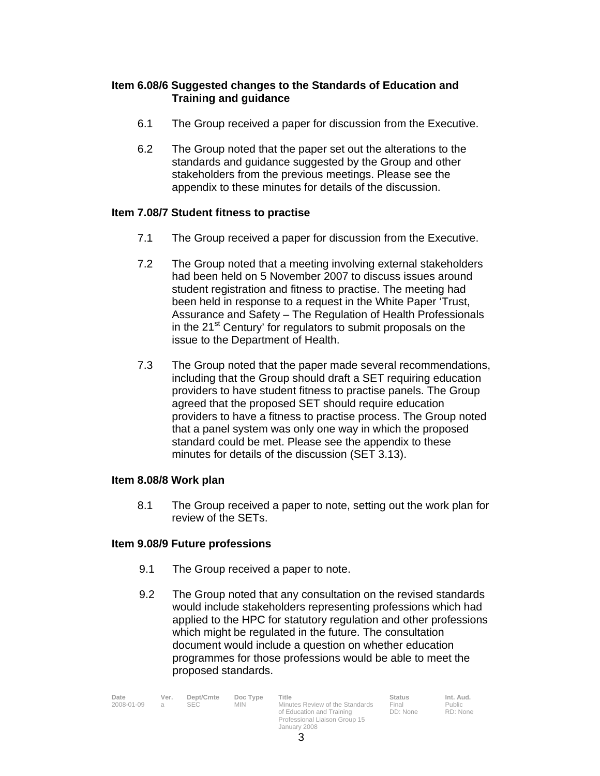#### **Item 6.08/6 Suggested changes to the Standards of Education and Training and guidance**

- 6.1 The Group received a paper for discussion from the Executive.
- 6.2 The Group noted that the paper set out the alterations to the standards and guidance suggested by the Group and other stakeholders from the previous meetings. Please see the appendix to these minutes for details of the discussion.

#### **Item 7.08/7 Student fitness to practise**

- 7.1 The Group received a paper for discussion from the Executive.
- 7.2 The Group noted that a meeting involving external stakeholders had been held on 5 November 2007 to discuss issues around student registration and fitness to practise. The meeting had been held in response to a request in the White Paper 'Trust, Assurance and Safety – The Regulation of Health Professionals in the  $21<sup>st</sup>$  Century' for regulators to submit proposals on the issue to the Department of Health.
- 7.3 The Group noted that the paper made several recommendations, including that the Group should draft a SET requiring education providers to have student fitness to practise panels. The Group agreed that the proposed SET should require education providers to have a fitness to practise process. The Group noted that a panel system was only one way in which the proposed standard could be met. Please see the appendix to these minutes for details of the discussion (SET 3.13).

#### **Item 8.08/8 Work plan**

 8.1 The Group received a paper to note, setting out the work plan for review of the SETs.

#### **Item 9.08/9 Future professions**

- 9.1 The Group received a paper to note.
- 9.2 The Group noted that any consultation on the revised standards would include stakeholders representing professions which had applied to the HPC for statutory regulation and other professions which might be regulated in the future. The consultation document would include a question on whether education programmes for those professions would be able to meet the proposed standards.

| Date       | Ver. | Dept/Cmte | Doc Type | Title                           | <b>Status</b> | Int. Aud. |
|------------|------|-----------|----------|---------------------------------|---------------|-----------|
| 2008-01-09 |      |           | MIN.     | Minutes Review of the Standards | Final         | Public    |
|            |      |           |          | of Education and Training       | DD: None      | RD: None  |

n and Training Professional Liaison Group 15 January 2008

Final DD: None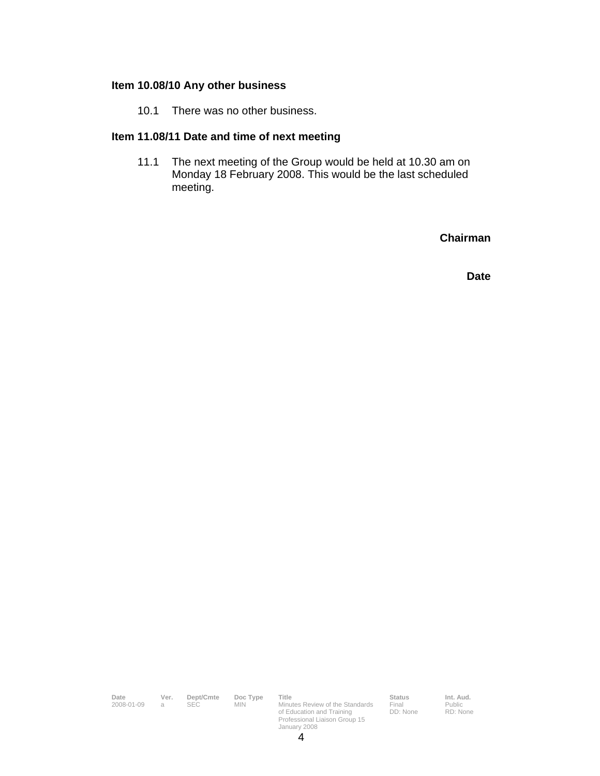#### **Item 10.08/10 Any other business**

10.1 There was no other business.

## **Item 11.08/11 Date and time of next meeting**

 11.1 The next meeting of the Group would be held at 10.30 am on Monday 18 February 2008. This would be the last scheduled meeting.

**Chairman** 

**Date** 

| Date<br>2008-01-09 | Ver.<br>a | Dept/Cmte<br><b>SEC</b> | Doc Type<br><b>MIN</b> | Title<br>Minutes Review of the Standards<br>of Education and Training<br>Professional Liaison Group 15<br>January 2008 | <b>Status</b><br>Final<br>DD: None | Int. Aud.<br>Public<br>RD: None |
|--------------------|-----------|-------------------------|------------------------|------------------------------------------------------------------------------------------------------------------------|------------------------------------|---------------------------------|
|                    |           |                         |                        |                                                                                                                        |                                    |                                 |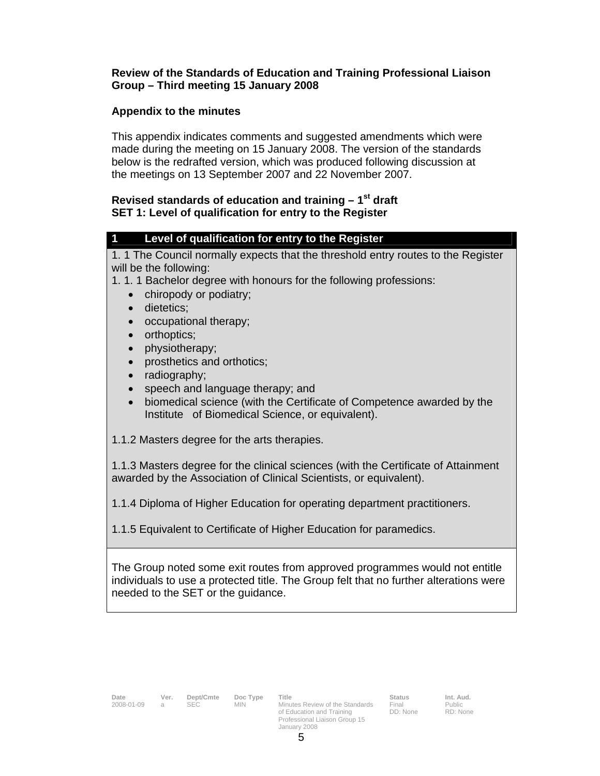#### **Review of the Standards of Education and Training Professional Liaison Group – Third meeting 15 January 2008**

### **Appendix to the minutes**

This appendix indicates comments and suggested amendments which were made during the meeting on 15 January 2008. The version of the standards below is the redrafted version, which was produced following discussion at the meetings on 13 September 2007 and 22 November 2007.

#### **Revised standards of education and training – 1st draft SET 1: Level of qualification for entry to the Register**

#### **1 Level of qualification for entry to the Register**

1. 1 The Council normally expects that the threshold entry routes to the Register will be the following:

1. 1. 1 Bachelor degree with honours for the following professions:

- chiropody or podiatry;
- dietetics:
- occupational therapy;
- orthoptics;
- physiotherapy;
- prosthetics and orthotics;
- radiography;
- speech and language therapy; and
- biomedical science (with the Certificate of Competence awarded by the Institute of Biomedical Science, or equivalent).

1.1.2 Masters degree for the arts therapies.

1.1.3 Masters degree for the clinical sciences (with the Certificate of Attainment awarded by the Association of Clinical Scientists, or equivalent).

1.1.4 Diploma of Higher Education for operating department practitioners.

1.1.5 Equivalent to Certificate of Higher Education for paramedics.

The Group noted some exit routes from approved programmes would not entitle individuals to use a protected title. The Group felt that no further alterations were needed to the SET or the guidance.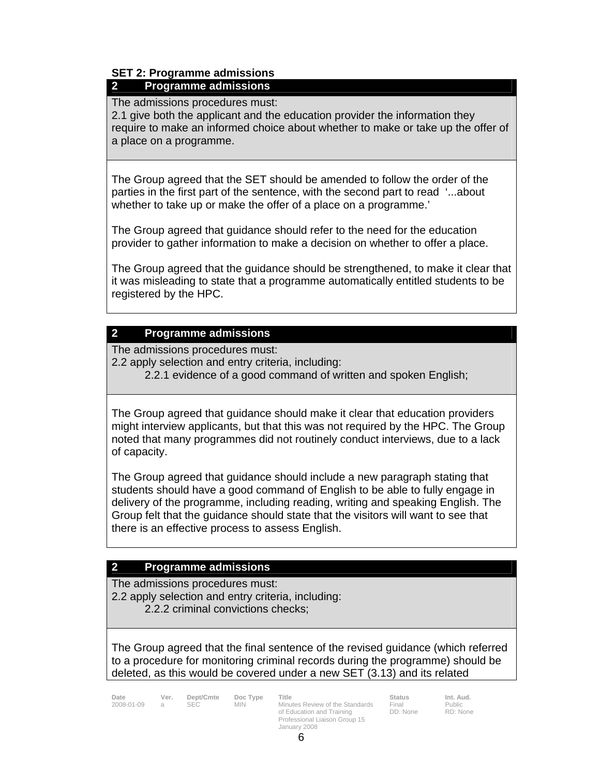# **SET 2: Programme admissions**

## **2 Programme admissions**

The admissions procedures must:

2.1 give both the applicant and the education provider the information they require to make an informed choice about whether to make or take up the offer of a place on a programme.

The Group agreed that the SET should be amended to follow the order of the parties in the first part of the sentence, with the second part to read '...about whether to take up or make the offer of a place on a programme.'

The Group agreed that guidance should refer to the need for the education provider to gather information to make a decision on whether to offer a place.

The Group agreed that the guidance should be strengthened, to make it clear that it was misleading to state that a programme automatically entitled students to be registered by the HPC.

## **2 Programme admissions**

The admissions procedures must:

2.2 apply selection and entry criteria, including:

2.2.1 evidence of a good command of written and spoken English;

The Group agreed that guidance should make it clear that education providers might interview applicants, but that this was not required by the HPC. The Group noted that many programmes did not routinely conduct interviews, due to a lack of capacity.

The Group agreed that guidance should include a new paragraph stating that students should have a good command of English to be able to fully engage in delivery of the programme, including reading, writing and speaking English. The Group felt that the guidance should state that the visitors will want to see that there is an effective process to assess English.

## **2 Programme admissions**

The admissions procedures must: 2.2 apply selection and entry criteria, including: 2.2.2 criminal convictions checks;

The Group agreed that the final sentence of the revised guidance (which referred to a procedure for monitoring criminal records during the programme) should be deleted, as this would be covered under a new SET (3.13) and its related

Date Ver. Dept/Cmte Doc Type Title **Status** Status Int. Aud. 2008-01-09 a SEC MIN Minutes Review of the Standards of Education and Training Professional Liaison Group 15 January 2008

Final DD: None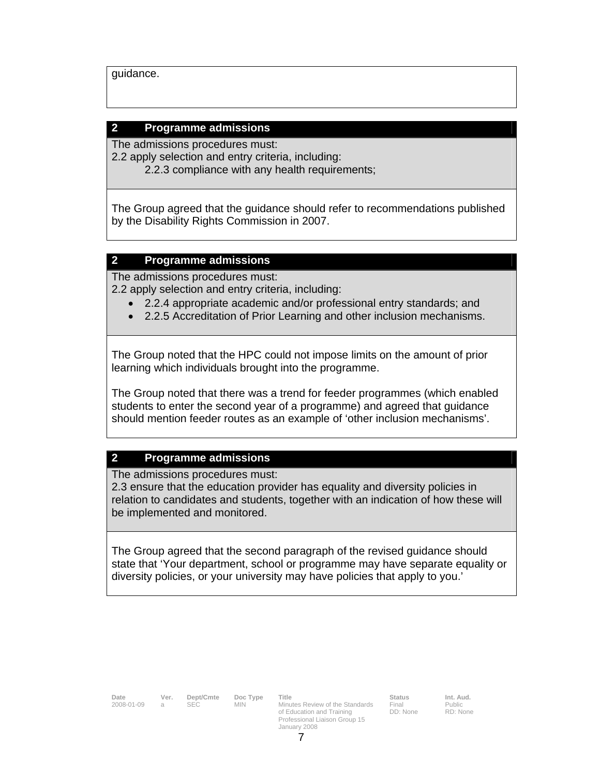guidance.

#### **2 Programme admissions**

The admissions procedures must:

2.2 apply selection and entry criteria, including:

2.2.3 compliance with any health requirements;

The Group agreed that the guidance should refer to recommendations published by the Disability Rights Commission in 2007.

#### **2 Programme admissions**

The admissions procedures must: 2.2 apply selection and entry criteria, including:

- 2.2.4 appropriate academic and/or professional entry standards; and
	- 2.2.5 Accreditation of Prior Learning and other inclusion mechanisms.

The Group noted that the HPC could not impose limits on the amount of prior learning which individuals brought into the programme.

The Group noted that there was a trend for feeder programmes (which enabled students to enter the second year of a programme) and agreed that guidance should mention feeder routes as an example of 'other inclusion mechanisms'.

#### **2 Programme admissions**

The admissions procedures must:

2.3 ensure that the education provider has equality and diversity policies in relation to candidates and students, together with an indication of how these will be implemented and monitored.

The Group agreed that the second paragraph of the revised guidance should state that 'Your department, school or programme may have separate equality or diversity policies, or your university may have policies that apply to you.'

Final DD: None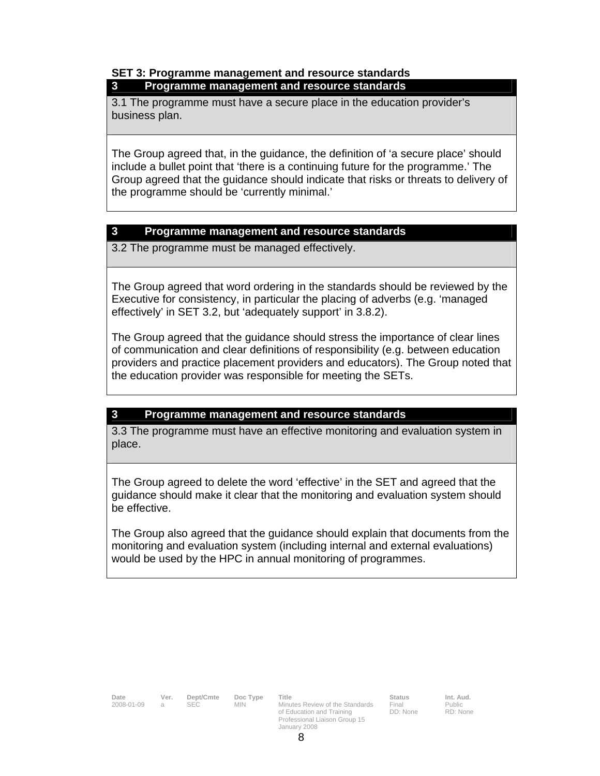#### **SET 3: Programme management and resource standards 3 Programme management and resource standards**

3.1 The programme must have a secure place in the education provider's business plan.

The Group agreed that, in the guidance, the definition of 'a secure place' should include a bullet point that 'there is a continuing future for the programme.' The Group agreed that the guidance should indicate that risks or threats to delivery of the programme should be 'currently minimal.'

#### **3 Programme management and resource standards**

3.2 The programme must be managed effectively.

The Group agreed that word ordering in the standards should be reviewed by the Executive for consistency, in particular the placing of adverbs (e.g. 'managed effectively' in SET 3.2, but 'adequately support' in 3.8.2).

The Group agreed that the guidance should stress the importance of clear lines of communication and clear definitions of responsibility (e.g. between education providers and practice placement providers and educators). The Group noted that the education provider was responsible for meeting the SETs.

### **3 Programme management and resource standards**

3.3 The programme must have an effective monitoring and evaluation system in place.

The Group agreed to delete the word 'effective' in the SET and agreed that the guidance should make it clear that the monitoring and evaluation system should be effective.

The Group also agreed that the guidance should explain that documents from the monitoring and evaluation system (including internal and external evaluations) would be used by the HPC in annual monitoring of programmes.

| Date       | Ver. |
|------------|------|
| 2008-01-09 | а    |

Final DD: None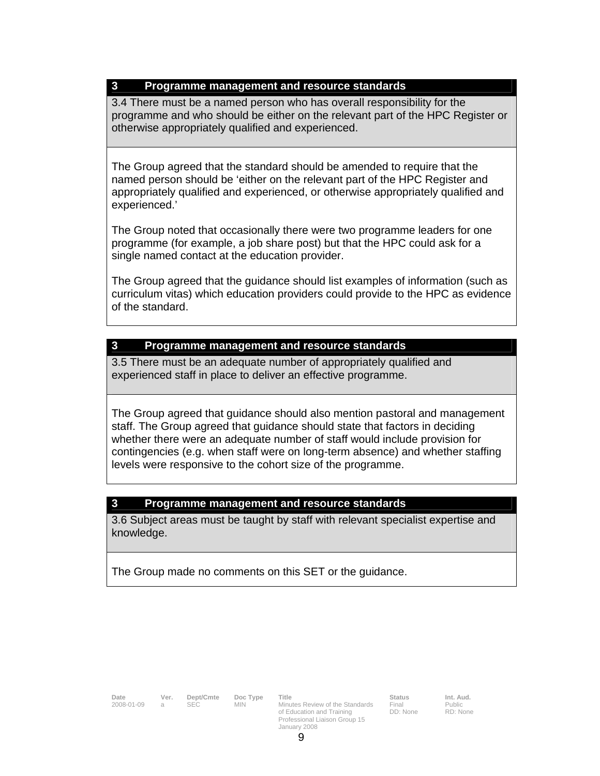### **3 Programme management and resource standards**

3.4 There must be a named person who has overall responsibility for the programme and who should be either on the relevant part of the HPC Register or otherwise appropriately qualified and experienced.

The Group agreed that the standard should be amended to require that the named person should be 'either on the relevant part of the HPC Register and appropriately qualified and experienced, or otherwise appropriately qualified and experienced.'

The Group noted that occasionally there were two programme leaders for one programme (for example, a job share post) but that the HPC could ask for a single named contact at the education provider.

The Group agreed that the guidance should list examples of information (such as curriculum vitas) which education providers could provide to the HPC as evidence of the standard.

#### **3 Programme management and resource standards**

3.5 There must be an adequate number of appropriately qualified and experienced staff in place to deliver an effective programme.

The Group agreed that guidance should also mention pastoral and management staff. The Group agreed that guidance should state that factors in deciding whether there were an adequate number of staff would include provision for contingencies (e.g. when staff were on long-term absence) and whether staffing levels were responsive to the cohort size of the programme.

### **3 Programme management and resource standards**

3.6 Subject areas must be taught by staff with relevant specialist expertise and knowledge.

The Group made no comments on this SET or the guidance.

**Date Ver. Dept/Cmte Doc Type Title Status Status Int. Aud.**<br>1999-01-09 a SEC MIN Minutes Review of the Standards Final Public **2008-01-01-01-01-01-008** Minutes Review of the Standards of Education and Training Professional Liaison Group 15 January 2008

**Status**<br>Final DD: None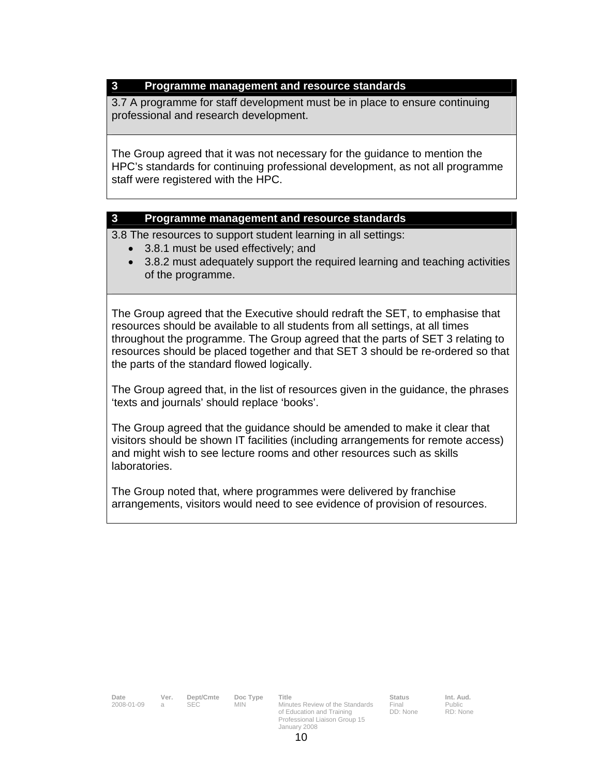### **3 Programme management and resource standards**

3.7 A programme for staff development must be in place to ensure continuing professional and research development.

The Group agreed that it was not necessary for the guidance to mention the HPC's standards for continuing professional development, as not all programme staff were registered with the HPC.

#### **3 Programme management and resource standards**

3.8 The resources to support student learning in all settings:

- 3.8.1 must be used effectively; and
- 3.8.2 must adequately support the required learning and teaching activities of the programme.

The Group agreed that the Executive should redraft the SET, to emphasise that resources should be available to all students from all settings, at all times throughout the programme. The Group agreed that the parts of SET 3 relating to resources should be placed together and that SET 3 should be re-ordered so that the parts of the standard flowed logically.

The Group agreed that, in the list of resources given in the guidance, the phrases 'texts and journals' should replace 'books'.

The Group agreed that the guidance should be amended to make it clear that visitors should be shown IT facilities (including arrangements for remote access) and might wish to see lecture rooms and other resources such as skills laboratories.

The Group noted that, where programmes were delivered by franchise arrangements, visitors would need to see evidence of provision of resources.

**Date Ver. Dept/Cmte Doc Type Title Status Status Int. Aud.**<br>2008-01-09 a SEC MIN Minutes Review of the Standards Final Public **2008** SEC MIN Minutes Review of the Standards of Education and Training Professional Liaison Group 15 January 2008 Final DD: None Public RD: None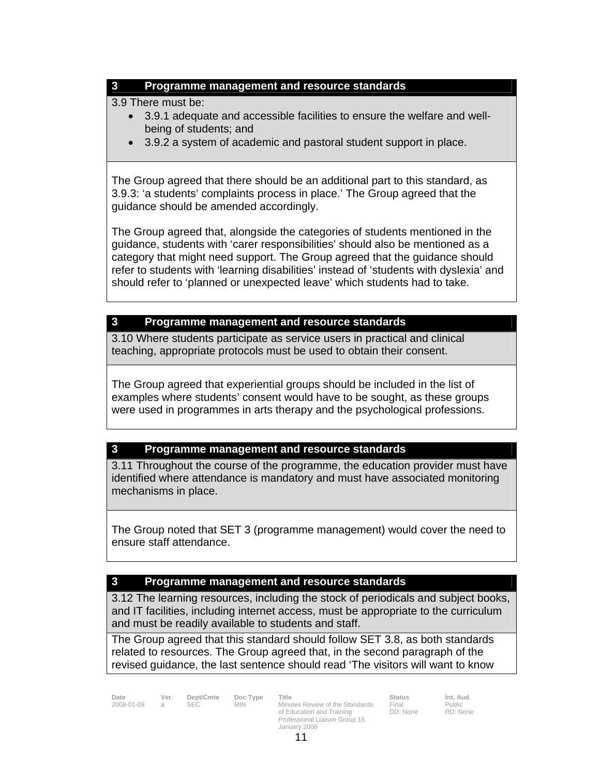### **3 Programme management and resource standards**

3.9 There must be:

- 3.9.1 adequate and accessible facilities to ensure the welfare and wellbeing of students; and
- 3.9.2 a system of academic and pastoral student support in place.

The Group agreed that there should be an additional part to this standard, as 3.9.3: 'a students' complaints process in place.' The Group agreed that the guidance should be amended accordingly.

The Group agreed that, alongside the categories of students mentioned in the guidance, students with 'carer responsibilities' should also be mentioned as a category that might need support. The Group agreed that the guidance should refer to students with 'learning disabilities' instead of 'students with dyslexia' and should refer to 'planned or unexpected leave' which students had to take.

#### **3 Programme management and resource standards**

3.10 Where students participate as service users in practical and clinical teaching, appropriate protocols must be used to obtain their consent.

The Group agreed that experiential groups should be included in the list of examples where students' consent would have to be sought, as these groups were used in programmes in arts therapy and the psychological professions.

### **3 Programme management and resource standards**

3.11 Throughout the course of the programme, the education provider must have identified where attendance is mandatory and must have associated monitoring mechanisms in place.

The Group noted that SET 3 (programme management) would cover the need to ensure staff attendance.

### **3 Programme management and resource standards**

3.12 The learning resources, including the stock of periodicals and subject books, and IT facilities, including internet access, must be appropriate to the curriculum and must be readily available to students and staff.

The Group agreed that this standard should follow SET 3.8, as both standards related to resources. The Group agreed that, in the second paragraph of the revised guidance, the last sentence should read 'The visitors will want to know

**Date Ver. Dept/Cmte Doc Type Title Status Status Int. Aud.**<br>2008-01-09 a SEC MIN Minutes Review of the Standards Final Public 2008-01-09 a SEC MIN Minutes Review of the Standards of Education and Training Professional Liaison Group 15 January 2008

Final DD: None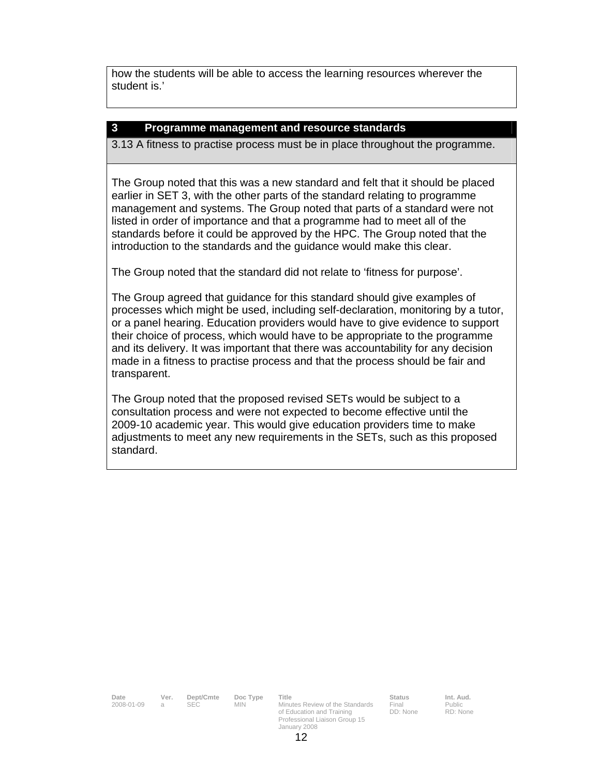how the students will be able to access the learning resources wherever the student is.'

#### **3 Programme management and resource standards**

3.13 A fitness to practise process must be in place throughout the programme.

The Group noted that this was a new standard and felt that it should be placed earlier in SET 3, with the other parts of the standard relating to programme management and systems. The Group noted that parts of a standard were not listed in order of importance and that a programme had to meet all of the standards before it could be approved by the HPC. The Group noted that the introduction to the standards and the guidance would make this clear.

The Group noted that the standard did not relate to 'fitness for purpose'.

The Group agreed that guidance for this standard should give examples of processes which might be used, including self-declaration, monitoring by a tutor, or a panel hearing. Education providers would have to give evidence to support their choice of process, which would have to be appropriate to the programme and its delivery. It was important that there was accountability for any decision made in a fitness to practise process and that the process should be fair and transparent.

The Group noted that the proposed revised SETs would be subject to a consultation process and were not expected to become effective until the 2009-10 academic year. This would give education providers time to make adjustments to meet any new requirements in the SETs, such as this proposed standard.

**Date Ver. Dept/Cmte Doc Type Title Status Status Int. Aud.**<br>2008-01-09 a SEC MIN Minutes Review of the Standards Final Public **2008** SEC MIN Minutes Review of the Standards of Education and Training Professional Liaison Group 15 January 2008

Final DD: None Public RD: None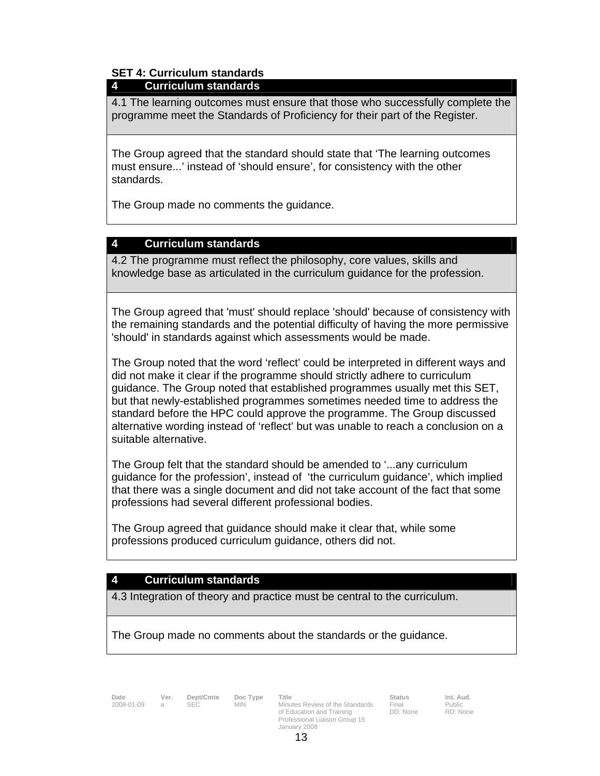## **SET 4: Curriculum standards**

### **4 Curriculum standards**

4.1 The learning outcomes must ensure that those who successfully complete the programme meet the Standards of Proficiency for their part of the Register.

The Group agreed that the standard should state that 'The learning outcomes must ensure...' instead of 'should ensure', for consistency with the other standards.

The Group made no comments the guidance.

### **4 Curriculum standards**

4.2 The programme must reflect the philosophy, core values, skills and knowledge base as articulated in the curriculum guidance for the profession.

The Group agreed that 'must' should replace 'should' because of consistency with the remaining standards and the potential difficulty of having the more permissive 'should' in standards against which assessments would be made.

The Group noted that the word 'reflect' could be interpreted in different ways and did not make it clear if the programme should strictly adhere to curriculum guidance. The Group noted that established programmes usually met this SET, but that newly-established programmes sometimes needed time to address the standard before the HPC could approve the programme. The Group discussed alternative wording instead of 'reflect' but was unable to reach a conclusion on a suitable alternative.

The Group felt that the standard should be amended to '...any curriculum guidance for the profession', instead of 'the curriculum guidance', which implied that there was a single document and did not take account of the fact that some professions had several different professional bodies.

The Group agreed that guidance should make it clear that, while some professions produced curriculum guidance, others did not.

## **4 Curriculum standards**

4.3 Integration of theory and practice must be central to the curriculum.

The Group made no comments about the standards or the guidance.

**Date Ver. Dept/Cmte Doc Type Title**<br>2008-01-09 a SEC MIN Minu

**2008-01-01-01-01-01-01-01-008** Minutes Review of the Standards of Education and Training Professional Liaison Group 15 January 2008

Final Public DD: None

RD: None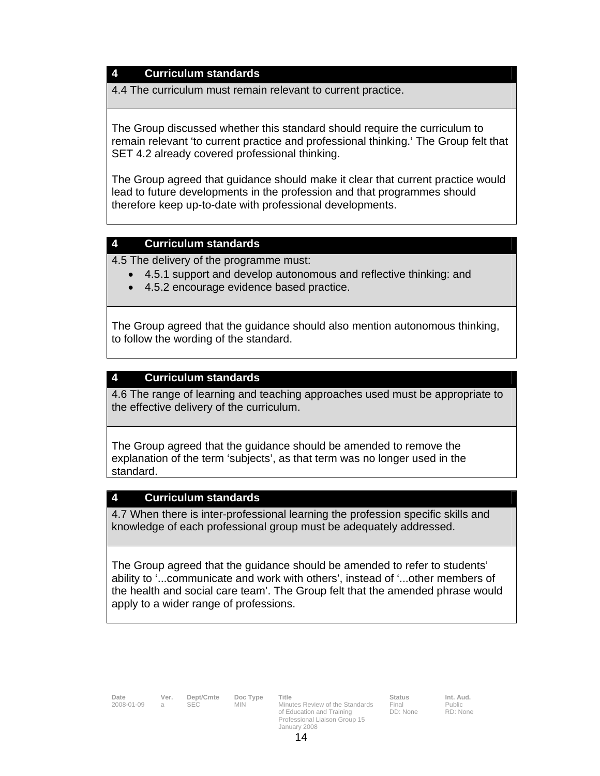#### **4 Curriculum standards**

4.4 The curriculum must remain relevant to current practice.

The Group discussed whether this standard should require the curriculum to remain relevant 'to current practice and professional thinking.' The Group felt that SET 4.2 already covered professional thinking.

The Group agreed that guidance should make it clear that current practice would lead to future developments in the profession and that programmes should therefore keep up-to-date with professional developments.

#### **4 Curriculum standards**

4.5 The delivery of the programme must:

- 4.5.1 support and develop autonomous and reflective thinking: and
- 4.5.2 encourage evidence based practice.

The Group agreed that the guidance should also mention autonomous thinking, to follow the wording of the standard.

#### **4 Curriculum standards**

4.6 The range of learning and teaching approaches used must be appropriate to the effective delivery of the curriculum.

The Group agreed that the guidance should be amended to remove the explanation of the term 'subjects', as that term was no longer used in the standard.

#### **4 Curriculum standards**

4.7 When there is inter-professional learning the profession specific skills and knowledge of each professional group must be adequately addressed.

The Group agreed that the guidance should be amended to refer to students' ability to '...communicate and work with others', instead of '...other members of the health and social care team'. The Group felt that the amended phrase would apply to a wider range of professions.

**Date Ver. Dept/Cmte Doc Type Title Status Status Int. Aud.**<br>2008-01-09 a SEC MIN Minutes Review of the Standards Final Public 2008-01-09 a SEC MIN Minutes Review of the Standards of Education and Training Professional Liaison Group 15 January 2008

DD: None

RD: None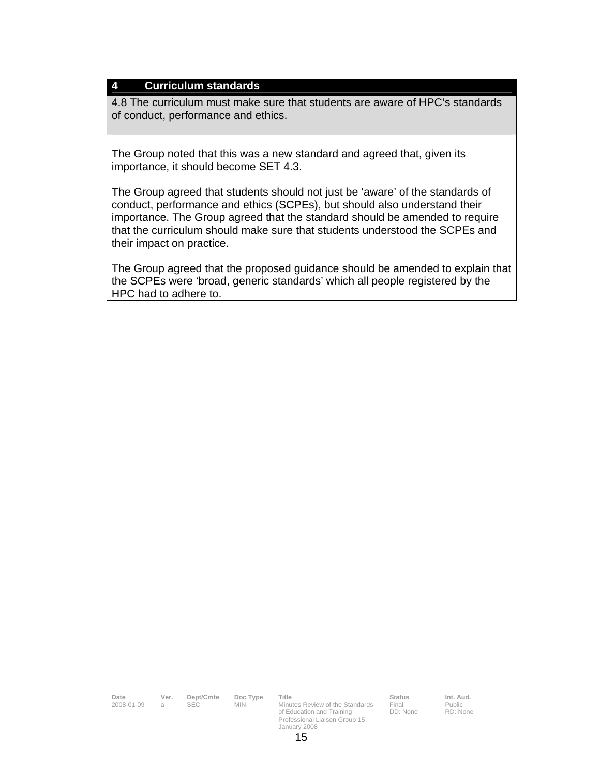#### **4 Curriculum standards**

4.8 The curriculum must make sure that students are aware of HPC's standards of conduct, performance and ethics.

The Group noted that this was a new standard and agreed that, given its importance, it should become SET 4.3.

The Group agreed that students should not just be 'aware' of the standards of conduct, performance and ethics (SCPEs), but should also understand their importance. The Group agreed that the standard should be amended to require that the curriculum should make sure that students understood the SCPEs and their impact on practice.

The Group agreed that the proposed guidance should be amended to explain that the SCPEs were 'broad, generic standards' which all people registered by the HPC had to adhere to.

| Date<br>2008-01-09 | Ver.<br>a. | Dept/Cmte<br>SEC. | Doc Type<br><b>MIN</b> | Title<br>Minutes Review of the Standards<br>of Education and Training<br>Professional Liaison Group 15<br>January 2008 | <b>Status</b><br>Final<br>DD: None | Int. Aud.<br><b>Public</b><br>RD: None |
|--------------------|------------|-------------------|------------------------|------------------------------------------------------------------------------------------------------------------------|------------------------------------|----------------------------------------|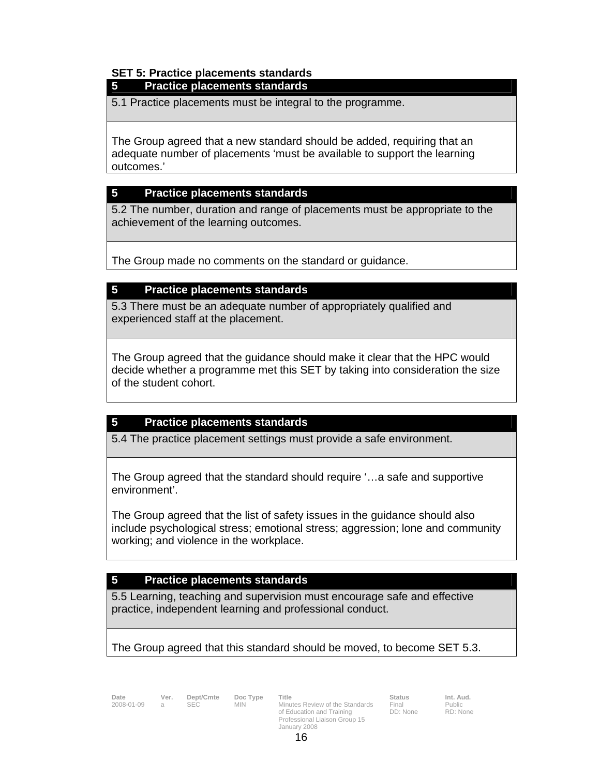## **SET 5: Practice placements standards**

### **5 Practice placements standards**

5.1 Practice placements must be integral to the programme.

The Group agreed that a new standard should be added, requiring that an adequate number of placements 'must be available to support the learning outcomes.'

### **5 Practice placements standards**

5.2 The number, duration and range of placements must be appropriate to the achievement of the learning outcomes.

The Group made no comments on the standard or guidance.

#### **5 Practice placements standards**

5.3 There must be an adequate number of appropriately qualified and experienced staff at the placement.

The Group agreed that the guidance should make it clear that the HPC would decide whether a programme met this SET by taking into consideration the size of the student cohort.

### **5 Practice placements standards**

5.4 The practice placement settings must provide a safe environment.

The Group agreed that the standard should require '…a safe and supportive environment'.

The Group agreed that the list of safety issues in the guidance should also include psychological stress; emotional stress; aggression; lone and community working; and violence in the workplace.

### **5 Practice placements standards**

5.5 Learning, teaching and supervision must encourage safe and effective practice, independent learning and professional conduct.

### The Group agreed that this standard should be moved, to become SET 5.3.

2008-01-09 a SEC MIN

**Date Ver. Dept/Cmte Doc Type Title**<br>2008-01-09 a SEC MIN Minutes Review of the Standards of Education and Training Professional Liaison Group 15 January 2008

Final DD: None Public RD: None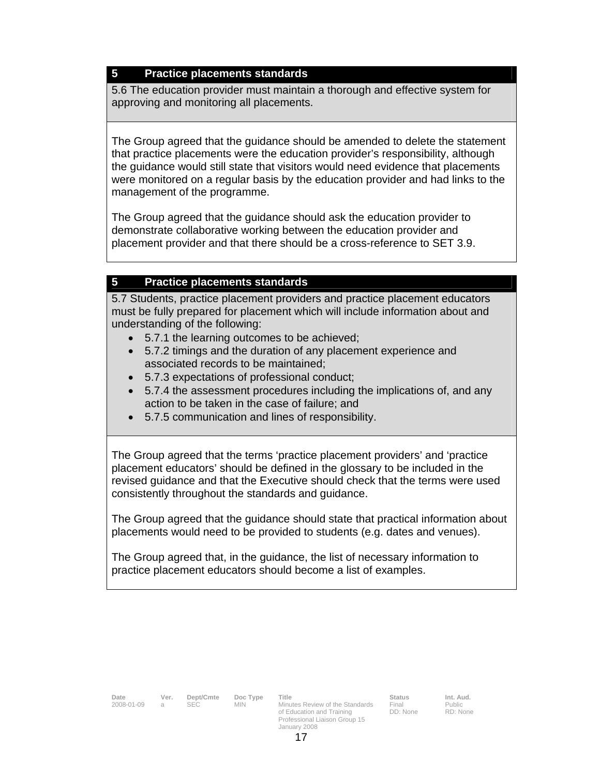### **5 Practice placements standards**

5.6 The education provider must maintain a thorough and effective system for approving and monitoring all placements.

The Group agreed that the guidance should be amended to delete the statement that practice placements were the education provider's responsibility, although the guidance would still state that visitors would need evidence that placements were monitored on a regular basis by the education provider and had links to the management of the programme.

The Group agreed that the guidance should ask the education provider to demonstrate collaborative working between the education provider and placement provider and that there should be a cross-reference to SET 3.9.

### **5 Practice placements standards**

5.7 Students, practice placement providers and practice placement educators must be fully prepared for placement which will include information about and understanding of the following:

- 5.7.1 the learning outcomes to be achieved;
- 5.7.2 timings and the duration of any placement experience and associated records to be maintained;
- 5.7.3 expectations of professional conduct;
- 5.7.4 the assessment procedures including the implications of, and any action to be taken in the case of failure; and
- 5.7.5 communication and lines of responsibility.

The Group agreed that the terms 'practice placement providers' and 'practice placement educators' should be defined in the glossary to be included in the revised guidance and that the Executive should check that the terms were used consistently throughout the standards and guidance.

The Group agreed that the guidance should state that practical information about placements would need to be provided to students (e.g. dates and venues).

The Group agreed that, in the guidance, the list of necessary information to practice placement educators should become a list of examples.

| Date         | Ver. | Dept/Cmte | Doc Type | Title                           | <b>Status</b> | Int. Aud. |
|--------------|------|-----------|----------|---------------------------------|---------------|-----------|
| 2008-01-09 a |      |           | MIN.     | Minutes Review of the Standards | Final         | Public    |

of Education and Training Professional Liaison Group 15 January 2008

Final DD: None Public RD: None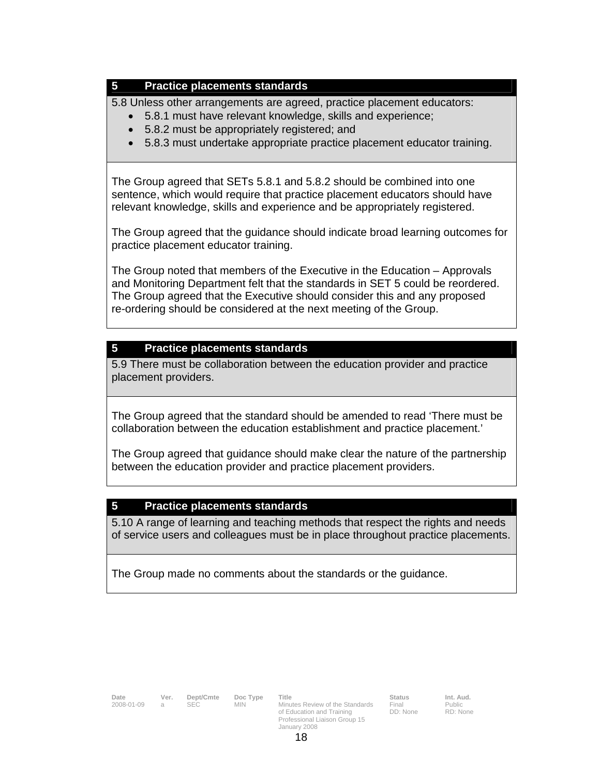### **5 Practice placements standards**

5.8 Unless other arrangements are agreed, practice placement educators:

- 5.8.1 must have relevant knowledge, skills and experience;
- 5.8.2 must be appropriately registered; and
- 5.8.3 must undertake appropriate practice placement educator training.

The Group agreed that SETs 5.8.1 and 5.8.2 should be combined into one sentence, which would require that practice placement educators should have relevant knowledge, skills and experience and be appropriately registered.

The Group agreed that the guidance should indicate broad learning outcomes for practice placement educator training.

The Group noted that members of the Executive in the Education – Approvals and Monitoring Department felt that the standards in SET 5 could be reordered. The Group agreed that the Executive should consider this and any proposed re-ordering should be considered at the next meeting of the Group.

## **5 Practice placements standards**

5.9 There must be collaboration between the education provider and practice placement providers.

The Group agreed that the standard should be amended to read 'There must be collaboration between the education establishment and practice placement.'

The Group agreed that guidance should make clear the nature of the partnership between the education provider and practice placement providers.

### **5 Practice placements standards**

5.10 A range of learning and teaching methods that respect the rights and needs of service users and colleagues must be in place throughout practice placements.

The Group made no comments about the standards or the guidance.

**Date Ver. Dept/Cmte Doc Type Title Status Status Int. Aud.**<br>1998-01-09 a SEC MIN Minutes Review of the Standards Final Public **2008-01-01-01-01-01-008** Minutes Review of the Standards of Education and Training Professional Liaison Group 15 January 2008

Final DD: None Public RD: None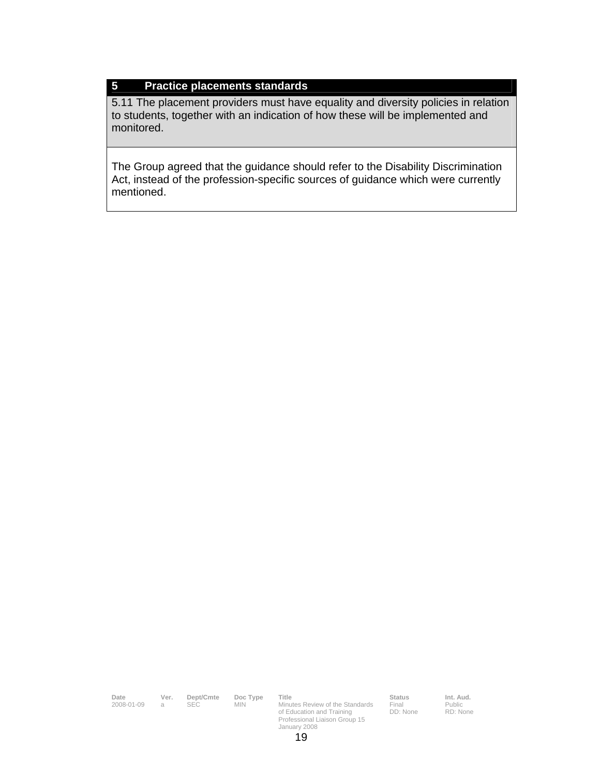### **5 Practice placements standards**

5.11 The placement providers must have equality and diversity policies in relation to students, together with an indication of how these will be implemented and monitored.

The Group agreed that the guidance should refer to the Disability Discrimination Act, instead of the profession-specific sources of guidance which were currently mentioned.

**Date Ver. Dept/Cmte Doc Type Title Status Status Int. Aud.**<br>2008-01-09 a SEC MIN Minutes Review of the Standards Final Public Minutes Review of the Standards of Education and Training Professional Liaison Group 15 January 2008 Final DD: None Public RD: None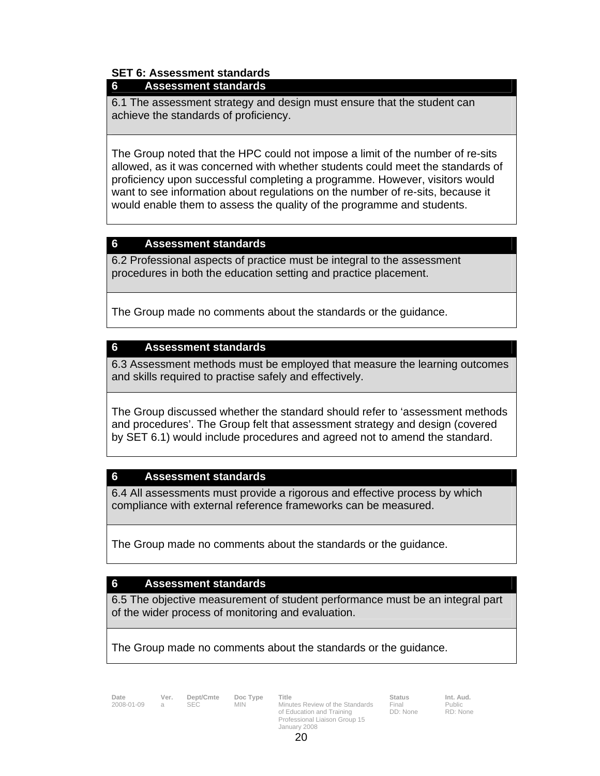## **SET 6: Assessment standards**

### **6 Assessment standards**

6.1 The assessment strategy and design must ensure that the student can achieve the standards of proficiency.

The Group noted that the HPC could not impose a limit of the number of re-sits allowed, as it was concerned with whether students could meet the standards of proficiency upon successful completing a programme. However, visitors would want to see information about regulations on the number of re-sits, because it would enable them to assess the quality of the programme and students.

### **6 Assessment standards**

6.2 Professional aspects of practice must be integral to the assessment procedures in both the education setting and practice placement.

The Group made no comments about the standards or the guidance.

### **6 Assessment standards**

6.3 Assessment methods must be employed that measure the learning outcomes and skills required to practise safely and effectively.

The Group discussed whether the standard should refer to 'assessment methods and procedures'. The Group felt that assessment strategy and design (covered by SET 6.1) would include procedures and agreed not to amend the standard.

## **6 Assessment standards**

6.4 All assessments must provide a rigorous and effective process by which compliance with external reference frameworks can be measured.

The Group made no comments about the standards or the guidance.

### **6 Assessment standards**

6.5 The objective measurement of student performance must be an integral part of the wider process of monitoring and evaluation.

The Group made no comments about the standards or the guidance.

**Date Ver. Dept/Cmte Doc Type Title**<br>2008-01-09 a SEC MIN Minu

MIN Minutes Review of the Standards of Education and Training Professional Liaison Group 15 January 2008

Final DD: None Public RD: None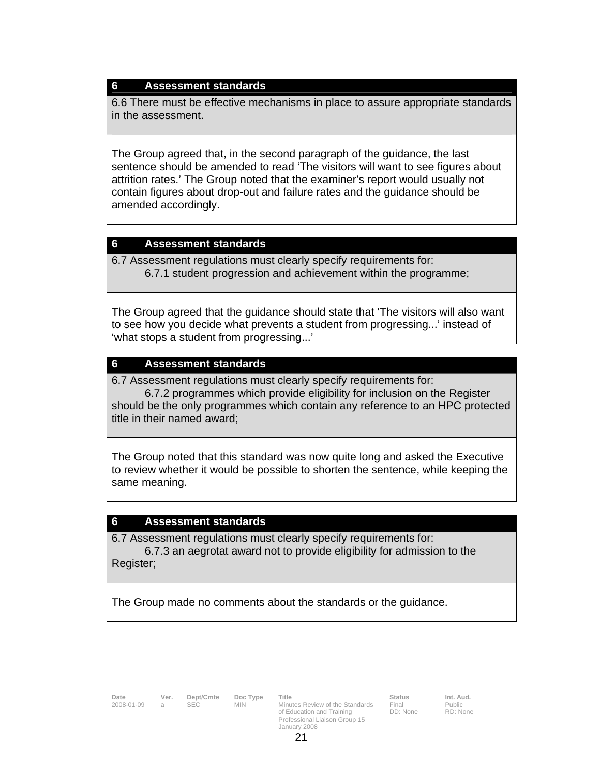#### **6 Assessment standards**

6.6 There must be effective mechanisms in place to assure appropriate standards in the assessment.

The Group agreed that, in the second paragraph of the guidance, the last sentence should be amended to read 'The visitors will want to see figures about attrition rates.' The Group noted that the examiner's report would usually not contain figures about drop-out and failure rates and the guidance should be amended accordingly.

#### **6 Assessment standards**

6.7 Assessment regulations must clearly specify requirements for: 6.7.1 student progression and achievement within the programme;

The Group agreed that the guidance should state that 'The visitors will also want to see how you decide what prevents a student from progressing...' instead of 'what stops a student from progressing...'

#### **6 Assessment standards**

6.7 Assessment regulations must clearly specify requirements for:

 6.7.2 programmes which provide eligibility for inclusion on the Register should be the only programmes which contain any reference to an HPC protected title in their named award;

The Group noted that this standard was now quite long and asked the Executive to review whether it would be possible to shorten the sentence, while keeping the same meaning.

#### **6 Assessment standards**

6.7 Assessment regulations must clearly specify requirements for: 6.7.3 an aegrotat award not to provide eligibility for admission to the Register;

The Group made no comments about the standards or the guidance.

**Date Ver. Dept/Cmte Doc Type Title Status Status Int. Aud.**<br>2008-01-09 a SEC MIN Minutes Review of the Standards Final Public of Education and Training Professional Liaison Group 15 January 2008

Final Public DD: None

RD: None